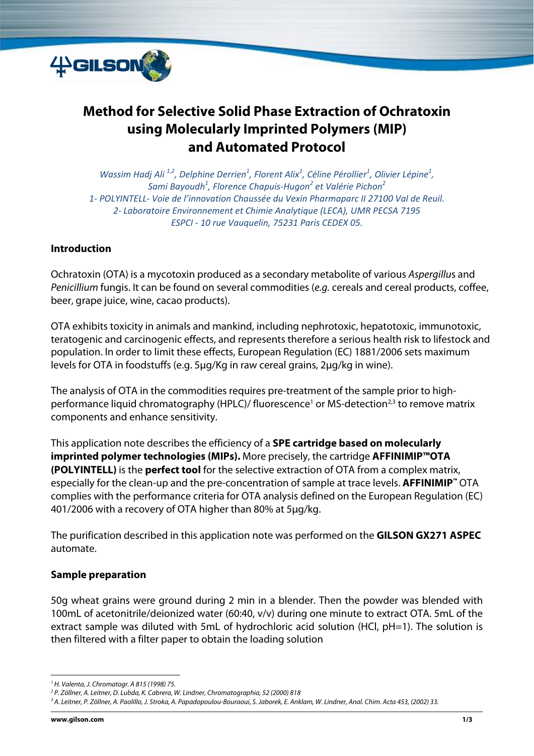

# **Method for Selective Solid Phase Extraction of Ochratoxin using Molecularly Imprinted Polymers (MIP) and Automated Protocol**

*Wassim Hadj Ali*<sup>1,2</sup>, Delphine Derrien<sup>1</sup>, Florent Alix<sup>1</sup>, Céline Pérollier<sup>1</sup>, Olivier Lépine<sup>1</sup>, *Sami Bayoudh<sup>1</sup> , Florence Chapuis‐Hugon<sup>2</sup> et Valérie Pichon<sup>2</sup> 1‐ POLYINTELL‐ Voie de l'innovation Chaussée du Vexin Pharmaparc II 27100 Val de Reuil. 2‐ Laboratoire Environnement et Chimie Analytique (LECA), UMR PECSA 7195 ESPCI ‐ 10 rue Vauquelin, 75231 Paris CEDEX 05.*

#### **Introduction**

Ochratoxin (OTA) is a mycotoxin produced as a secondary metabolite of various Aspergillus and Penicillium fungis. It can be found on several commodities (e.g. cereals and cereal products, coffee, beer, grape juice, wine, cacao products).

OTA exhibits toxicity in animals and mankind, including nephrotoxic, hepatotoxic, immunotoxic, teratogenic and carcinogenic effects, and represents therefore a serious health risk to lifestock and population. In order to limit these effects, European Regulation (EC) 1881/2006 sets maximum levels for OTA in foodstuffs (e.g. 5μg/Kg in raw cereal grains, 2μg/kg in wine).

The analysis of OTA in the commodities requires pre-treatment of the sample prior to highperformance liquid chromatography (HPLC)/ fluorescence<sup>1</sup> or MS-detection<sup>2,3</sup> to remove matrix components and enhance sensitivity.

This application note describes the efficiency of a **SPE cartridge based on molecularly imprinted polymer technologies (MIPs).** More precisely, the cartridge **AFFINIMIP™OTA (POLYINTELL)** is the **perfect tool** for the selective extraction of OTA from a complex matrix, especially for the clean-up and the pre-concentration of sample at trace levels. **AFFINIMIP™** OTA complies with the performance criteria for OTA analysis defined on the European Regulation (EC) 401/2006 with a recovery of OTA higher than 80% at 5μg/kg.

The purification described in this application note was performed on the **GILSON GX271 ASPEC** automate.

#### **Sample preparation**

50g wheat grains were ground during 2 min in a blender. Then the powder was blended with 100mL of acetonitrile/deionized water (60:40, v/v) during one minute to extract OTA. 5mL of the extract sample was diluted with 5mL of hydrochloric acid solution (HCl, pH=1). The solution is then filtered with a filter paper to obtain the loading solution

 1 H. Valenta, J. Chromatogr. A 815 (1998) 75.

<sup>&</sup>lt;sup>2</sup> P. Zöllner, A. Leitner, D. Lubda, K. Cabrera, W. Lindner, Chromatographia, 52 (2000) 818<br><sup>3</sup> A. Leitner, P. Zöllner, A. Paolillo, L. Stroka, A. Panadonoulou-Rourgoui, S. Jaborek, E. Ank

<sup>&</sup>lt;sup>3</sup> A. Leitner, P. Zöllner, A. Paolillo, J. Stroka, A. Papadopoulou-Bouraoui, S. Jaborek, E. Anklam, W. Lindner, Anal. Chim. Acta 453, (2002) 33.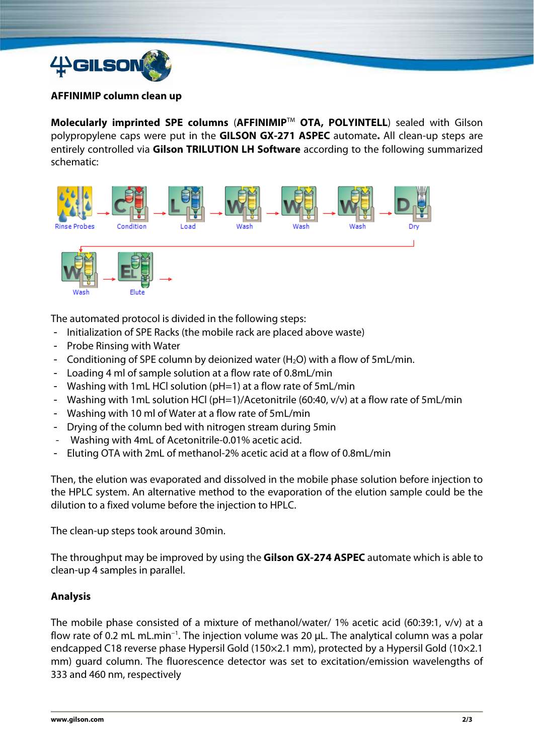

#### **AFFINIMIP column clean up**

**Molecularly imprinted SPE columns** (**AFFINIMIP**TM **OTA, POLYINTELL**) sealed with Gilson polypropylene caps were put in the **GILSON GX-271 ASPEC** automate**.** All clean-up steps are entirely controlled via **Gilson TRILUTION LH Software** according to the following summarized schematic:



The automated protocol is divided in the following steps:

- Initialization of SPE Racks (the mobile rack are placed above waste)
- Probe Rinsing with Water
- Conditioning of SPE column by deionized water  $(H<sub>2</sub>O)$  with a flow of 5mL/min.
- Loading 4 ml of sample solution at a flow rate of 0.8mL/min
- Washing with 1mL HCl solution (pH=1) at a flow rate of 5mL/min
- Washing with 1mL solution HCl (pH=1)/Acetonitrile (60:40, v/v) at a flow rate of 5mL/min
- Washing with 10 ml of Water at a flow rate of 5mL/min
- Drying of the column bed with nitrogen stream during 5min
- Washing with 4mL of Acetonitrile-0.01% acetic acid.
- Eluting OTA with 2mL of methanol-2% acetic acid at a flow of 0.8mL/min

Then, the elution was evaporated and dissolved in the mobile phase solution before injection to the HPLC system. An alternative method to the evaporation of the elution sample could be the dilution to a fixed volume before the injection to HPLC.

The clean-up steps took around 30min.

The throughput may be improved by using the **Gilson GX-274 ASPEC** automate which is able to clean-up 4 samples in parallel.

## **Analysis**

The mobile phase consisted of a mixture of methanol/water/ 1% acetic acid (60:39:1, v/v) at a flow rate of 0.2 mL mL.min−1. The injection volume was 20 μL. The analytical column was a polar endcapped C18 reverse phase Hypersil Gold (150×2.1 mm), protected by a Hypersil Gold (10×2.1 mm) guard column. The fluorescence detector was set to excitation/emission wavelengths of 333 and 460 nm, respectively